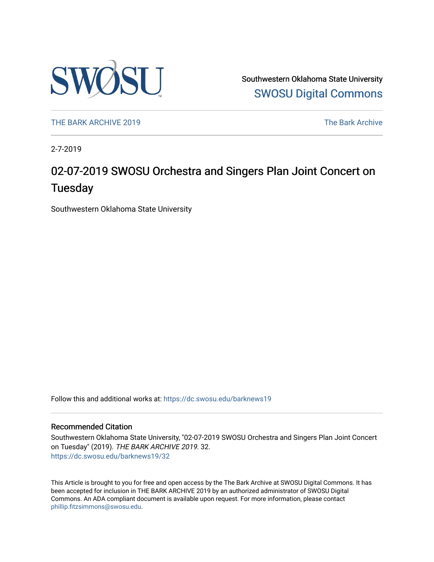

Southwestern Oklahoma State University [SWOSU Digital Commons](https://dc.swosu.edu/) 

[THE BARK ARCHIVE 2019](https://dc.swosu.edu/barknews19) The Bark Archive

2-7-2019

### 02-07-2019 SWOSU Orchestra and Singers Plan Joint Concert on **Tuesday**

Southwestern Oklahoma State University

Follow this and additional works at: [https://dc.swosu.edu/barknews19](https://dc.swosu.edu/barknews19?utm_source=dc.swosu.edu%2Fbarknews19%2F32&utm_medium=PDF&utm_campaign=PDFCoverPages)

#### Recommended Citation

Southwestern Oklahoma State University, "02-07-2019 SWOSU Orchestra and Singers Plan Joint Concert on Tuesday" (2019). THE BARK ARCHIVE 2019. 32. [https://dc.swosu.edu/barknews19/32](https://dc.swosu.edu/barknews19/32?utm_source=dc.swosu.edu%2Fbarknews19%2F32&utm_medium=PDF&utm_campaign=PDFCoverPages) 

This Article is brought to you for free and open access by the The Bark Archive at SWOSU Digital Commons. It has been accepted for inclusion in THE BARK ARCHIVE 2019 by an authorized administrator of SWOSU Digital Commons. An ADA compliant document is available upon request. For more information, please contact [phillip.fitzsimmons@swosu.edu](mailto:phillip.fitzsimmons@swosu.edu).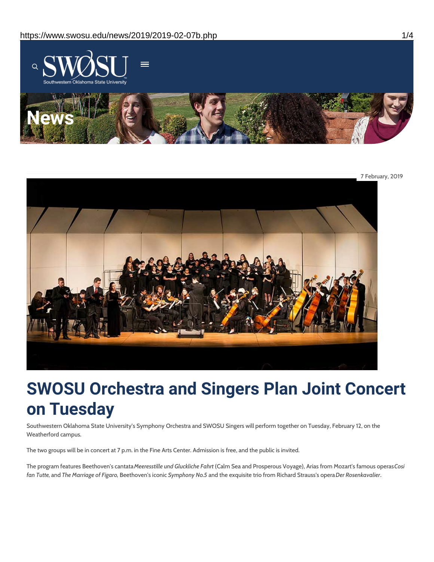



# **SWOSU Orchestra and Singers Plan Joint Concert on Tuesday**

Southwestern Oklahoma State University's Symphony Orchestra and SWOSU Singers will perform together on Tuesday, February 12, on the Weatherford campus.

The two groups will be in concert at 7 p.m. in the Fine Arts Center. Admission is free, and the public is invited.

The program features Beethoven's cantata*Meeresstille und Gluckliche Fahrt* (Calm Sea and Prosperous Voyage), Arias from Mozart's famous operas*Cosi fan Tutte,* and *The Marriage of Figaro,* Beethoven's iconic *Symphony No.5* and the exquisite trio from Richard Strauss's opera*Der Rosenkavalier*.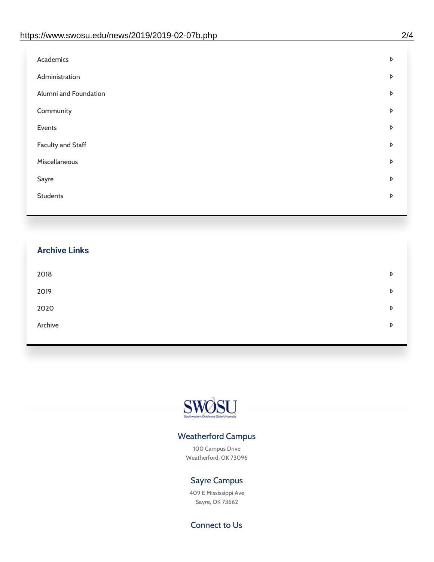| Administration<br>D<br>Alumni and Foundation<br>D<br>Community<br>D<br>Events<br>D | Academics | D |
|------------------------------------------------------------------------------------|-----------|---|
|                                                                                    |           |   |
|                                                                                    |           |   |
|                                                                                    |           |   |
|                                                                                    |           |   |
| <b>Faculty and Staff</b><br>D                                                      |           |   |
| Miscellaneous<br>D                                                                 |           |   |
| Sayre<br>D                                                                         |           |   |
| <b>Students</b><br>D                                                               |           |   |

## **Archive Links**  $2018$  $2019$ [2020](https://www.swosu.edu/news/2020/index.php)  $\bullet$ [Archive](https://dc.swosu.edu/bark/) **Archive Archive Archive Archive Archive** Archive Archive Archive Archive Archive Archive Archive Archive



### Weatherford Campus

100 Campus Drive Weatherford, OK 73096

### Sayre Campus

409 E Mississippi Ave Sayre, OK 73662

Connect to Us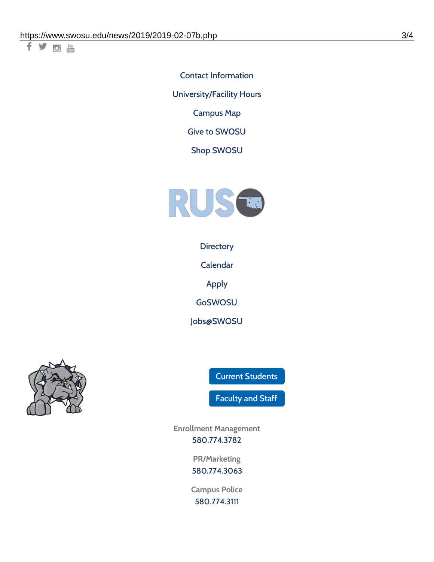千岁回调

Contact [Information](https://www.swosu.edu/about/contact.php) [University/Facility](https://www.swosu.edu/about/operating-hours.php) Hours [Campus](https://map.concept3d.com/?id=768#!ct/10964,10214,10213,10212,10205,10204,10203,10202,10136,10129,10128,0,31226,10130,10201,10641,0) Map

Give to [SWOSU](https://standingfirmly.com/donate)

Shop [SWOSU](https://shopswosu.merchorders.com/)



**[Directory](https://www.swosu.edu/directory/index.php)** 

[Calendar](https://eventpublisher.dudesolutions.com/swosu/)

[Apply](https://www.swosu.edu/admissions/apply-to-swosu.php)

[GoSWOSU](https://qlsso.quicklaunchsso.com/home/1267)

[Jobs@SWOSU](https://swosu.csod.com/ux/ats/careersite/1/home?c=swosu)



Current [Students](https://bulldog.swosu.edu/index.php)

[Faculty](https://bulldog.swosu.edu/faculty-staff/index.php) and Staff

**Enrollment Management** [580.774.3782](tel:5807743782)

> **PR/Marketing** [580.774.3063](tel:5807743063)

**Campus Police** [580.774.3111](tel:5807743111)